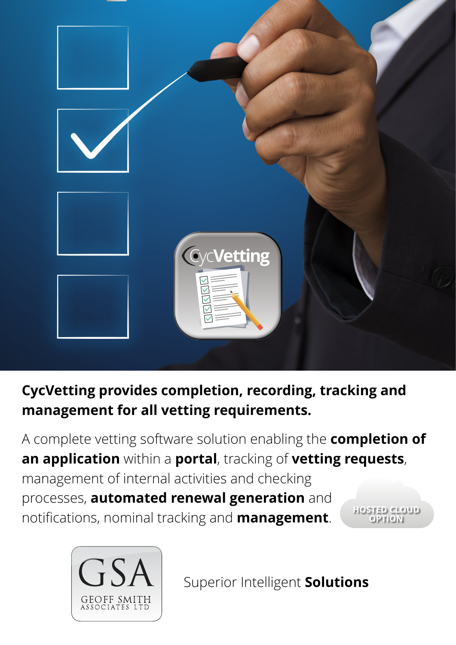

**CycVetting provides completion, recording, tracking and management for all vetting requirements.**

A complete vetting software solution enabling the **completion of an application** within a **portal**, tracking of **vetting requests**, management of internal activities and checking processes, **automated renewal generation** and notifications, nominal tracking and **management**. **HOSTED CLOUD OPTION**



Superior Intelligent **Solutions**